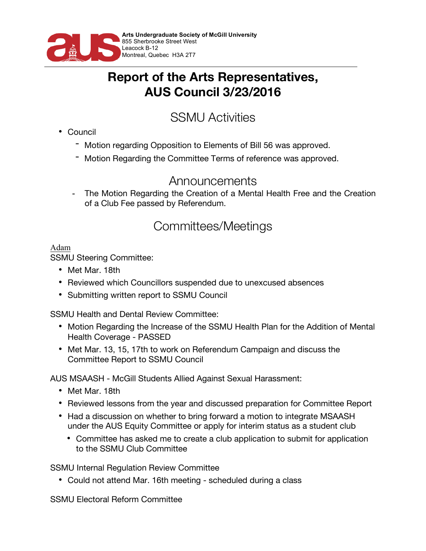

## **Report of the Arts Representatives, AUS Council 3/23/2016**

# SSMU Activities

- Council
	- Motion regarding Opposition to Elements of Bill 56 was approved.
	- Motion Regarding the Committee Terms of reference was approved.

### Announcements

The Motion Regarding the Creation of a Mental Health Free and the Creation of a Club Fee passed by Referendum.

## Committees/Meetings

### Adam

SSMU Steering Committee:

- Met Mar. 18th
- Reviewed which Councillors suspended due to unexcused absences
- Submitting written report to SSMU Council

SSMU Health and Dental Review Committee:

- Motion Regarding the Increase of the SSMU Health Plan for the Addition of Mental Health Coverage - PASSED
- Met Mar. 13, 15, 17th to work on Referendum Campaign and discuss the Committee Report to SSMU Council

AUS MSAASH - McGill Students Allied Against Sexual Harassment:

- Met Mar. 18th
- Reviewed lessons from the year and discussed preparation for Committee Report
- Had a discussion on whether to bring forward a motion to integrate MSAASH under the AUS Equity Committee or apply for interim status as a student club
	- Committee has asked me to create a club application to submit for application to the SSMU Club Committee

SSMU Internal Regulation Review Committee

• Could not attend Mar. 16th meeting - scheduled during a class

SSMU Electoral Reform Committee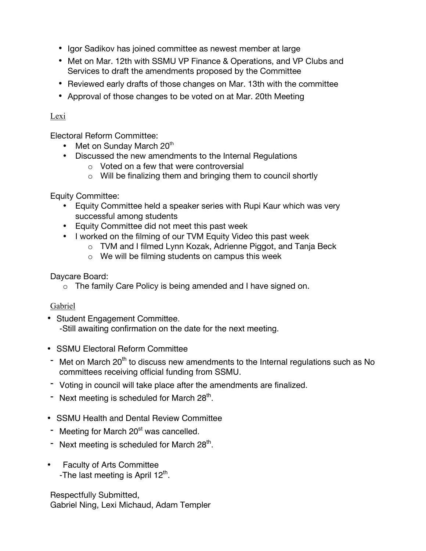- Igor Sadikov has joined committee as newest member at large
- Met on Mar. 12th with SSMU VP Finance & Operations, and VP Clubs and Services to draft the amendments proposed by the Committee
- Reviewed early drafts of those changes on Mar. 13th with the committee
- Approval of those changes to be voted on at Mar. 20th Meeting

#### Lexi

Electoral Reform Committee:

- Met on Sunday March 20<sup>th</sup>
- Discussed the new amendments to the Internal Regulations
	- o Voted on a few that were controversial
	- o Will be finalizing them and bringing them to council shortly

Equity Committee:

- Equity Committee held a speaker series with Rupi Kaur which was very successful among students
- Equity Committee did not meet this past week
- I worked on the filming of our TVM Equity Video this past week
	- o TVM and I filmed Lynn Kozak, Adrienne Piggot, and Tanja Beck
	- o We will be filming students on campus this week

Daycare Board:

o The family Care Policy is being amended and I have signed on.

#### Gabriel

- Student Engagement Committee. -Still awaiting confirmation on the date for the next meeting.
- SSMU Electoral Reform Committee
- $-$  Met on March 20<sup>th</sup> to discuss new amendments to the Internal regulations such as No committees receiving official funding from SSMU.
- Voting in council will take place after the amendments are finalized.
- Next meeting is scheduled for March  $28<sup>th</sup>$ .
- SSMU Health and Dental Review Committee
- Meeting for March 20<sup>st</sup> was cancelled.
- Next meeting is scheduled for March  $28<sup>th</sup>$ .
- Faculty of Arts Committee -The last meeting is April  $12<sup>th</sup>$ .

Respectfully Submitted, Gabriel Ning, Lexi Michaud, Adam Templer